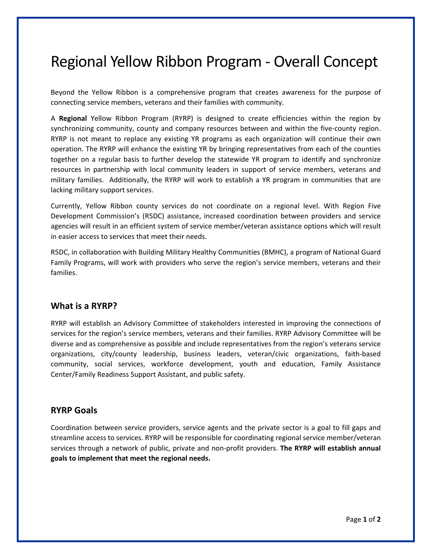# Regional Yellow Ribbon Program - Overall Concept

Beyond the Yellow Ribbon is a comprehensive program that creates awareness for the purpose of connecting service members, veterans and their families with community.

A **Regional** Yellow Ribbon Program (RYRP) is designed to create efficiencies within the region by synchronizing community, county and company resources between and within the five-county region. RYRP is not meant to replace any existing YR programs as each organization will continue their own operation. The RYRP will enhance the existing YR by bringing representatives from each of the counties together on a regular basis to further develop the statewide YR program to identify and synchronize resources in partnership with local community leaders in support of service members, veterans and military families. Additionally, the RYRP will work to establish a YR program in communities that are lacking military support services.

Currently, Yellow Ribbon county services do not coordinate on a regional level. With Region Five Development Commission's (R5DC) assistance, increased coordination between providers and service agencies will result in an efficient system of service member/veteran assistance options which will result in easier access to services that meet their needs.

R5DC, in collaboration with Building Military Healthy Communities (BMHC), a program of National Guard Family Programs, will work with providers who serve the region's service members, veterans and their families.

## **What is a RYRP?**

RYRP will establish an Advisory Committee of stakeholders interested in improving the connections of services for the region's service members, veterans and their families. RYRP Advisory Committee will be diverse and as comprehensive as possible and include representatives from the region's veterans service organizations, city/county leadership, business leaders, veteran/civic organizations, faith-based community, social services, workforce development, youth and education, Family Assistance Center/Family Readiness Support Assistant, and public safety.

### **RYRP Goals**

Coordination between service providers, service agents and the private sector is a goal to fill gaps and streamline access to services. RYRP will be responsible for coordinating regional service member/veteran services through a network of public, private and non-profit providers. **The RYRP will establish annual goals to implement that meet the regional needs.**